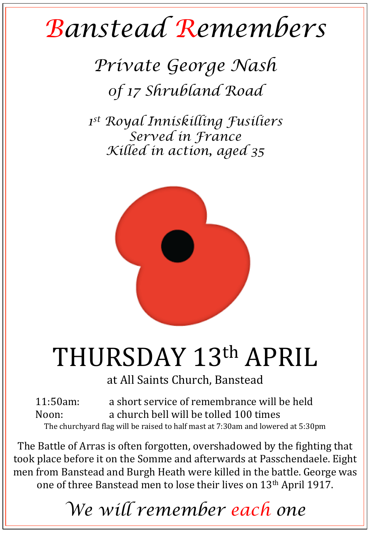## *Banstead Remembers*

*Private George Nash 0f 17 Shrubland Road* 

*1st Royal Inniskilling Fusiliers Served in France Killed in action, aged 35* 



## THURSDAY 13th APRIL

at All Saints Church, Banstead

11:50am: a short service of remembrance will be held Noon: a church bell will be tolled 100 times The churchyard flag will be raised to half mast at 7:30am and lowered at 5:30pm

The Battle of Arras is often forgotten, overshadowed by the fighting that took place before it on the Somme and afterwards at Passchendaele. Eight men from Banstead and Burgh Heath were killed in the battle. George was one of three Banstead men to lose their lives on 13<sup>th</sup> April 1917.

*We will remember each one*